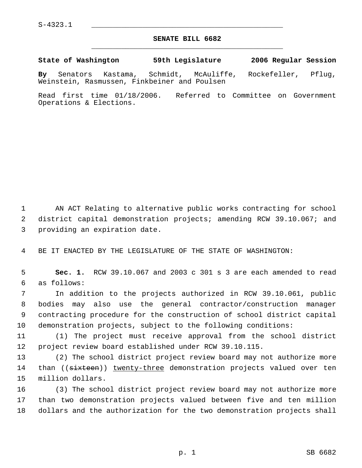## **SENATE BILL 6682** \_\_\_\_\_\_\_\_\_\_\_\_\_\_\_\_\_\_\_\_\_\_\_\_\_\_\_\_\_\_\_\_\_\_\_\_\_\_\_\_\_\_\_\_\_

**State of Washington 59th Legislature 2006 Regular Session**

**By** Senators Kastama, Schmidt, McAuliffe, Rockefeller, Pflug, Weinstein, Rasmussen, Finkbeiner and Poulsen

Read first time 01/18/2006. Referred to Committee on Government Operations & Elections.

 AN ACT Relating to alternative public works contracting for school district capital demonstration projects; amending RCW 39.10.067; and providing an expiration date.

BE IT ENACTED BY THE LEGISLATURE OF THE STATE OF WASHINGTON:

 **Sec. 1.** RCW 39.10.067 and 2003 c 301 s 3 are each amended to read as follows:

 In addition to the projects authorized in RCW 39.10.061, public bodies may also use the general contractor/construction manager contracting procedure for the construction of school district capital demonstration projects, subject to the following conditions:

 (1) The project must receive approval from the school district project review board established under RCW 39.10.115.

 (2) The school district project review board may not authorize more 14 than ((sixteen)) twenty-three demonstration projects valued over ten million dollars.

 (3) The school district project review board may not authorize more than two demonstration projects valued between five and ten million dollars and the authorization for the two demonstration projects shall